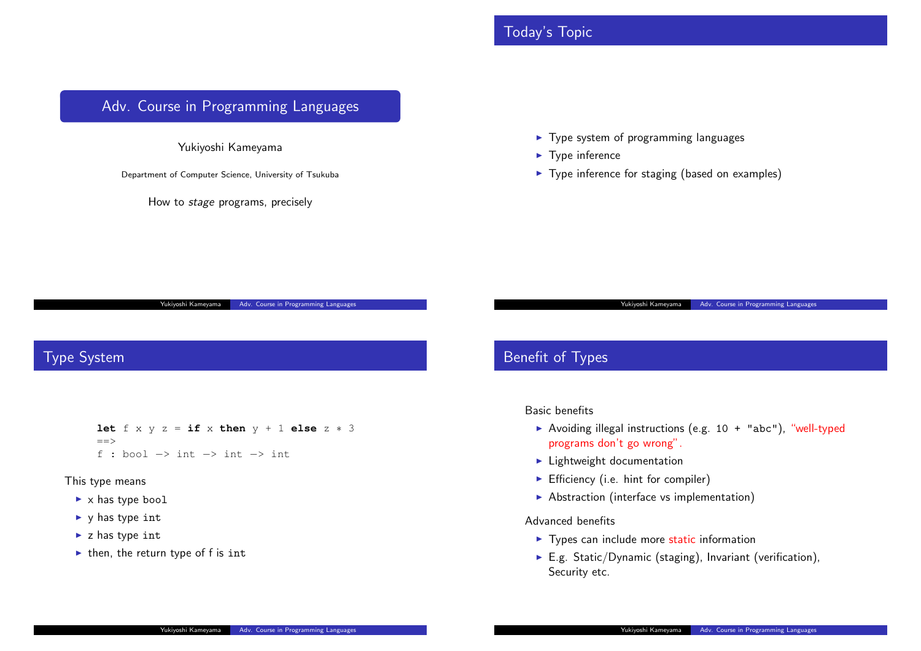# Today's Topic

# <span id="page-0-0"></span>Adv. Course in Programming Languages

Yukiyoshi Kameyama

Department of Computer Science, University of Tsukuba

How to *stage* programs, precisely

Adv. Course in Programn

- $\blacktriangleright$  Type system of program
- ▶ Type inference
- $\blacktriangleright$  Type inference for staging

### Type System

**let**  $f \times y \times z = \textbf{if} \times \textbf{then} \times y + 1 \textbf{else} \times z + 3$  $f \times y \times z = \textbf{if} \times \textbf{then} \times y + 1 \textbf{else} \times z + 3$  $f \times y \times z = \textbf{if} \times \textbf{then} \times y + 1 \textbf{else} \times z + 3$  $==$ f : bool *−*> int *−*> int *−*> int

#### This type means

- ▶ x has type bool
- ▶ y has type int
- ▶ z has type int
- $\blacktriangleright$  then, the return type of f is int

### Benefit of Types

#### Basic benefits

 $\blacktriangleright$  Avoiding illegal instructions programs don't go wrong

Yukiyoshi K

- $\blacktriangleright$  Lightweight documentat
- $\blacktriangleright$  Efficiency (i.e. hint for c
- ▶ Abstraction (interface vs

### Advanced benefits

- $\blacktriangleright$  Types can include more
- $\blacktriangleright$  E.g. Static/Dynamic (st Security etc.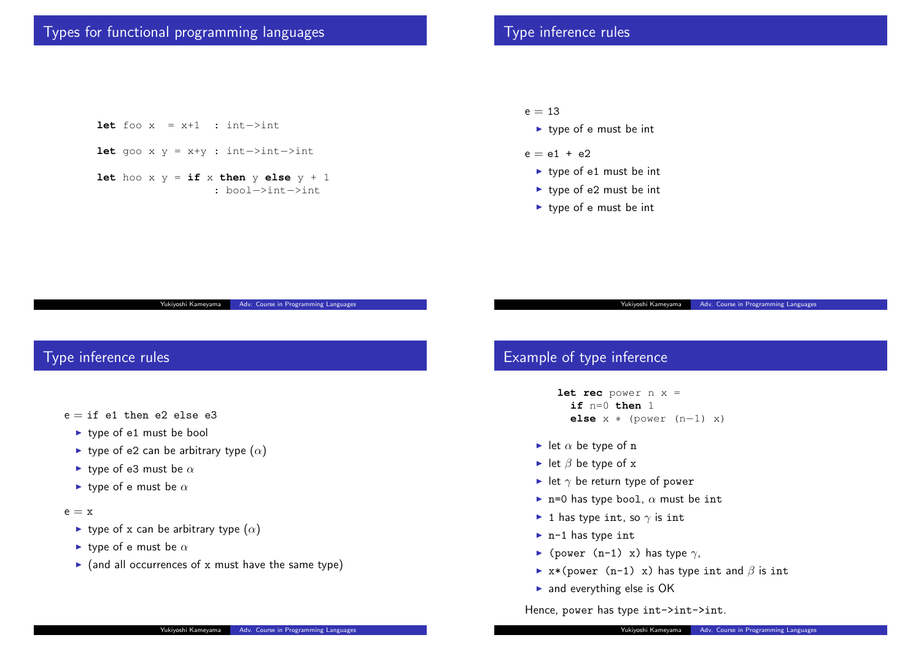# Type inference rules

#### $e = 13$

- ▶ type of e must be int
- $e = e1 + e2$ 
	- ▶ type of e1 must be int
	- ▶ type of e2 must be int
	- ▶ type of e must be int

# Adv. Course in Program

# Example of type inference

let rec power n x **if** n=0 **then** 1 **else** x \* (power

Yukiyoshi Kamey

- $\blacktriangleright$  let  $\alpha$  be type of n
- ▶ let *β* be type of x
- $▶$  let  $\gamma$  be return type of p
- $\blacktriangleright$  n=0 has type bool,  $\alpha$  m
- ▶ 1 has type int, so  $\gamma$  is  $\pi$
- ▶ n-1 has type int
- ▶ (power (n-1) x) has t
- ▶ x\*(power (n-1) x) ha
- ▶ and everything else is OI

Hence, power has type int-

# Types for functional programming languages

### **let** foo x = x+1 : int*−*>int

- **let** goo x y = x+y : int*−*>int*−*>int
- **let** hoo x  $y = \textbf{if} x \textbf{ then } y \textbf{ else } y + 1$ : bool*−*>int*−*>int

# Type inference rules

- $e = if$  e1 then e2 else e3
	- ▶ type of e1 must be boo[l](#page-0-0)
	- ▶ type of e2 can be arbitrary type (*α*)
	- ▶ type of e3 must be *α*
	- ▶ type of e must be *α*
- $e = x$ 
	- **►** type of x can be arbitrary type  $(α)$
	- ▶ type of e must be *α*
	- ▶ (and all occurrences of x must have the same type)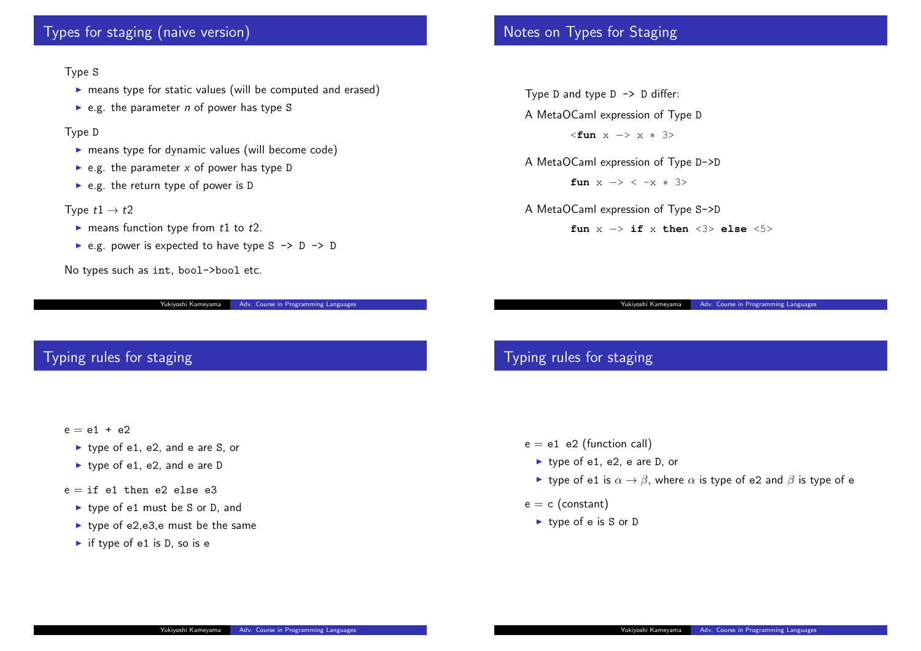### Types for staging (naive version)

#### Type S

- ▶ means type for static values (will be computed and erased)
- ▶ e.g. the parameter *n* of power has type S

#### Type D

- ▶ means type for dynamic values (will become code)
- $\blacktriangleright$  e.g. the parameter *x* of power has type D
- $\blacktriangleright$  e.g. the return type of power is D

#### Type  $t1 \rightarrow t2$

- ▶ means function type from *t*1 to *t*2.
- ▶ e.g. power is expected to have type  $S \rightarrow D \rightarrow D$

No types such as int, bool->bool etc.

Yukiyoshi Kameyama | Adv. Course in Programming Languages

# Notes on Types for Staging

Type D and type  $D \rightarrow D$  differ-A MetaOCaml expression of <**fun** x *−*> x *∗* 3>

A MetaOCaml expression of

**fun** x *−*> < ~x *∗* 3>

Yukiyoshi Kamey

A MetaOCaml expression of fun x -> if x t

# Typing rules for staging

 $e = e1$  e2 (function call)

- $\blacktriangleright$  type of e1, e2, e are D,
- **►** type of e1 is  $\alpha \rightarrow \beta$ , wh
- $e = c$  (constant)
	- ▶ type of e is S or D

# Typing rules for staging

#### $e = e1 + e2$

- ▶ type of e1, e2, and e are S, or
- ▶ type of e1, e2, and e are D
- $e = if$  e1 then e2 else e3
	- ▶ type of e1 must be S or D, and
	- ▶ type of e2,e3,e must be the same
	- $\triangleright$  if type of e1 is D, so is e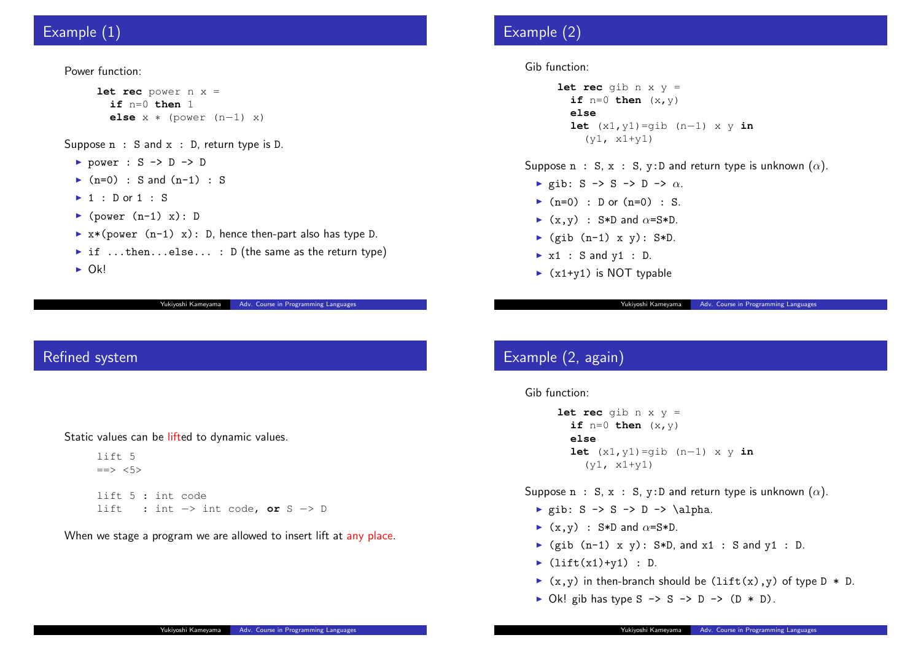# Example (1)

#### Power function:

```
let rec power n x =
       if n=0 then 1
       else x ∗ (power (n−1) x)
Suppose n : S and x : D, return type is D.
```
- ▶ power : S -> D -> D
- ▶  $(n=0)$  : S and  $(n-1)$  : S
- $\blacktriangleright$  1 : D or 1 : S
- $\blacktriangleright$  (power  $(n-1)$  x): D
- $\triangleright$  x\*(power (n-1) x): D, hence then-part also has type D.
- ▶ if ...then...else... : D (the same as the return type)
- $\triangleright$  Ok!

Yukiyoshi Kameyama | Adv. Course in Programming Languag

### Refined system

Static values can be lifted to [dynamic values.](#page-0-0)

lift 5  $\Rightarrow$  <5> lift 5 : int code lift : int *−*> int code, **or** S *−*> D

When we stage a program we are allowed to insert lift at any place.

# Example (2)

Gib function:

```
let rec gib n x y
       if n=0 then (x, y)else
       let (x1, y1)=gib
          (y1, x1+y1)
Suppose n : S, x : S, y:D
```
- ▶ gib: S -> S -> D -> *α*.
- $\blacktriangleright$  (n=0) : D or (n=0) :
- $\blacktriangleright$  (x,y) : S\*D and  $\alpha$ =S\*
- $\blacktriangleright$  (gib (n-1) x y): S\*I
- $\triangleright$  x1 : S and y1 : D.
- $\triangleright$  (x1+y1) is NOT typable

Yukiyoshi Kamey

# Example (2, again)

Gib function:

```
let rec gib n x y
  if n=0 then (x, y)else
  let (x1, y1) =gib
    (y1, x1+y1)
```
Suppose n : S, x : S, y:D

- $\blacktriangleright$  gib: S -> S -> D ->
- $\blacktriangleright$  (x,y) : S\*D and  $\alpha$ =S\*
- $\blacktriangleright$  (gib (n-1) x y): S\*I
- $\blacktriangleright$  (lift(x1)+y1) : D.
- $\blacktriangleright$  (x,y) in then-branch sh
- $\triangleright$  Ok! gib has type S  $\rightarrow$  S